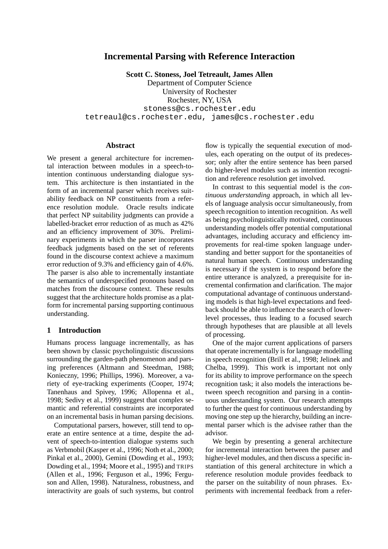# **Incremental Parsing with Reference Interaction**

**Scott C. Stoness, Joel Tetreault, James Allen**

Department of Computer Science University of Rochester Rochester, NY, USA stoness@cs.rochester.edu tetreaul@cs.rochester.edu, james@cs.rochester.edu

#### **Abstract**

We present a general architecture for incremental interaction between modules in a speech-tointention continuous understanding dialogue system. This architecture is then instantiated in the form of an incremental parser which receives suitability feedback on NP constituents from a reference resolution module. Oracle results indicate that perfect NP suitability judgments can provide a labelled-bracket error reduction of as much as 42% and an efficiency improvement of 30%. Preliminary experiments in which the parser incorporates feedback judgments based on the set of referents found in the discourse context achieve a maximum error reduction of 9.3% and efficiency gain of 4.6%. The parser is also able to incrementally instantiate the semantics of underspecified pronouns based on matches from the discourse context. These results suggest that the architecture holds promise as a platform for incremental parsing supporting continuous understanding.

### **1 Introduction**

Humans process language incrementally, as has been shown by classic psycholinguistic discussions surrounding the garden-path phenomenon and parsing preferences (Altmann and Steedman, 1988; Konieczny, 1996; Phillips, 1996). Moreover, a variety of eye-tracking experiments (Cooper, 1974; Tanenhaus and Spivey, 1996; Allopenna et al., 1998; Sedivy et al., 1999) suggest that complex semantic and referential constraints are incorporated on an incremental basis in human parsing decisions.

Computational parsers, however, still tend to operate an entire sentence at a time, despite the advent of speech-to-intention dialogue systems such as Verbmobil (Kasper et al., 1996; Noth et al., 2000; Pinkal et al., 2000), Gemini (Dowding et al., 1993; Dowding et al., 1994; Moore et al., 1995) and TRIPS (Allen et al., 1996; Ferguson et al., 1996; Ferguson and Allen, 1998). Naturalness, robustness, and interactivity are goals of such systems, but control

flow is typically the sequential execution of modules, each operating on the output of its predecessor; only after the entire sentence has been parsed do higher-level modules such as intention recognition and reference resolution get involved.

In contrast to this sequential model is the *continuous understanding* approach, in which all levels of language analysis occur simultaneously, from speech recognition to intention recognition. As well as being psycholinguistically motivated, continuous understanding models offer potential computational advantages, including accuracy and efficiency improvements for real-time spoken language understanding and better support for the spontaneities of natural human speech. Continuous understanding is necessary if the system is to respond before the entire utterance is analyzed, a prerequisite for incremental confirmation and clarification. The major computational advantage of continuous understanding models is that high-level expectations and feedback should be able to influence the search of lowerlevel processes, thus leading to a focused search through hypotheses that are plausible at all levels of processing.

One of the major current applications of parsers that operate incrementally is for language modelling in speech recognition (Brill et al., 1998; Jelinek and Chelba, 1999). This work is important not only for its ability to improve performance on the speech recognition task; it also models the interactions between speech recognition and parsing in a continuous understanding system. Our research attempts to further the quest for continuous understanding by moving one step up the hierarchy, building an incremental parser which is the advisee rather than the advisor.

We begin by presenting a general architecture for incremental interaction between the parser and higher-level modules, and then discuss a specific instantiation of this general architecture in which a reference resolution module provides feedback to the parser on the suitability of noun phrases. Experiments with incremental feedback from a refer-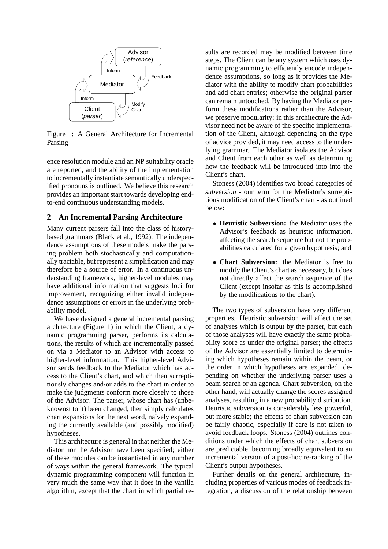

Figure 1: A General Architecture for Incremental Parsing

ence resolution module and an NP suitability oracle are reported, and the ability of the implementation to incrementally instantiate semantically underspecified pronouns is outlined. We believe this research provides an important start towards developing endto-end continuous understanding models.

### **2 An Incremental Parsing Architecture**

Many current parsers fall into the class of historybased grammars (Black et al., 1992). The independence assumptions of these models make the parsing problem both stochastically and computationally tractable, but represent a simplification and may therefore be a source of error. In a continuous understanding framework, higher-level modules may have additional information that suggests loci for improvement, recognizing either invalid independence assumptions or errors in the underlying probability model.

We have designed a general incremental parsing architecture (Figure 1) in which the Client, a dynamic programming parser, performs its calculations, the results of which are incrementally passed on via a Mediator to an Advisor with access to higher-level information. This higher-level Advisor sends feedback to the Mediator which has access to the Client's chart, and which then surreptitiously changes and/or adds to the chart in order to make the judgments conform more closely to those of the Advisor. The parser, whose chart has (unbeknownst to it) been changed, then simply calculates chart expansions for the next word, naïvely expanding the currently available (and possibly modified) hypotheses.

This architecture is general in that neither the Mediator nor the Advisor have been specified; either of these modules can be instantiated in any number of ways within the general framework. The typical dynamic programming component will function in very much the same way that it does in the vanilla algorithm, except that the chart in which partial results are recorded may be modified between time steps. The Client can be any system which uses dynamic programming to efficiently encode independence assumptions, so long as it provides the Mediator with the ability to modify chart probabilities and add chart entries; otherwise the original parser can remain untouched. By having the Mediator perform these modifications rather than the Advisor, we preserve modularity: in this architecture the Advisor need not be aware of the specific implementation of the Client, although depending on the type of advice provided, it may need access to the underlying grammar. The Mediator isolates the Advisor and Client from each other as well as determining how the feedback will be introduced into into the Client's chart.

Stoness (2004) identifies two broad categories of *subversion* - our term for the Mediator's surreptitious modification of the Client's chart - as outlined below:

- **Heuristic Subversion:** the Mediator uses the Advisor's feedback as heuristic information, affecting the search sequence but not the probabilities calculated for a given hypothesis; and
- **Chart Subversion:** the Mediator is free to modify the Client's chart as necessary, but does not directly affect the search sequence of the Client (except insofar as this is accomplished by the modifications to the chart).

The two types of subversion have very different properties. Heuristic subversion will affect the set of analyses which is output by the parser, but each of those analyses will have exactly the same probability score as under the original parser; the effects of the Advisor are essentially limited to determining which hypotheses remain within the beam, or the order in which hypotheses are expanded, depending on whether the underlying parser uses a beam search or an agenda. Chart subversion, on the other hand, will actually change the scores assigned analyses, resulting in a new probability distribution. Heuristic subversion is considerably less powerful, but more stable; the effects of chart subversion can be fairly chaotic, especially if care is not taken to avoid feedback loops. Stoness (2004) outlines conditions under which the effects of chart subversion are predictable, becoming broadly equivalent to an incremental version of a post-hoc re-ranking of the Client's output hypotheses.

Further details on the general architecture, including properties of various modes of feedback integration, a discussion of the relationship between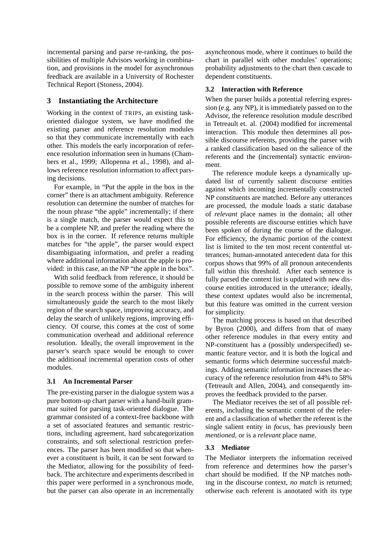incremental parsing and parse re-ranking, the possibilities of multiple Advisors working in combination, and provisions in the model for asynchronous feedback are available in a University of Rochester Technical Report (Stoness, 2004).

### **3 Instantiating the Architecture**

Working in the context of TRIPS, an existing taskoriented dialogue system, we have modified the existing parser and reference resolution modules so that they communicate incrementally with each other. This models the early incorporation of reference resolution information seen in humans (Chambers et al., 1999; Allopenna et al., 1998), and allows reference resolution information to affect parsing decisions.

For example, in "Put the apple in the box in the corner" there is an attachment ambiguity. Reference resolution can determine the number of matches for the noun phrase "the apple" incrementally; if there is a single match, the parser would expect this to be a complete NP, and prefer the reading where the box is in the corner. If reference returns multiple matches for "the apple", the parser would expect disambiguating information, and prefer a reading where additional information about the apple is provided: in this case, an the NP "the apple in the box".

With solid feedback from reference, it should be possible to remove some of the ambiguity inherent in the search process within the parser. This will simultaneously guide the search to the most likely region of the search space, improving accuracy, and delay the search of unlikely regions, improving efficiency. Of course, this comes at the cost of some communication overhead and additional reference resolution. Ideally, the overall improvement in the parser's search space would be enough to cover the additional incremental operation costs of other modules.

## **3.1 An Incremental Parser**

The pre-existing parser in the dialogue system was a pure bottom-up chart parser with a hand-built grammar suited for parsing task-oriented dialogue. The grammar consisted of a context-free backbone with a set of associated features and semantic restrictions, including agreement, hard subcategorization constraints, and soft selectional restriction preferences. The parser has been modified so that whenever a constituent is built, it can be sent forward to the Mediator, allowing for the possibility of feedback. The architecture and experiments described in this paper were performed in a synchronous mode, but the parser can also operate in an incrementally asynchronous mode, where it continues to build the chart in parallel with other modules' operations; probability adjustments to the chart then cascade to dependent constituents.

### **3.2 Interaction with Reference**

When the parser builds a potential referring expression (e.g. any NP), it is immediately passed on to the Advisor, the reference resolution module described in Tetreault et. al. (2004) modified for incremental interaction. This module then determines all possible discourse referents, providing the parser with a ranked classification based on the salience of the referents and the (incremental) syntactic environment.

The reference module keeps a dynamically updated list of currently salient discourse entities against which incoming incrementally constructed NP constituents are matched. Before any utterances are processed, the module loads a static database of *relevant* place names in the domain; all other possible referents are discourse entities which have been spoken of during the course of the dialogue. For efficiency, the dynamic portion of the context list is limited to the ten most recent contentful utterances; human-annotated antecedent data for this corpus shows that 99% of all pronoun antecendents fall within this threshold. After each sentence is fully parsed the context list is updated with new discourse entities introduced in the utterance; ideally, these context updates would also be incremental, but this feature was omitted in the current version for simplicity.

The matching process is based on that described by Byron (2000), and differs from that of many other reference modules in that every entity and NP-constituent has a (possibly underspecified) semantic feature vector, and it is both the logical and semantic forms which determine successful matchings. Adding semantic information increases the accuracy of the reference resolution from 44% to 58% (Tetreault and Allen, 2004), and consequently improves the feedback provided to the parser.

The Mediator receives the set of all possible referents, including the semantic content of the referent and a classification of whether the referent is the single salient entity in *focus*, has previously been *mentioned*, or is a *relevant* place name.

#### **3.3 Mediator**

The Mediator interprets the information received from reference and determines how the parser's chart should be modified. If the NP matches nothing in the discourse context, *no match* is returned; otherwise each referent is annotated with its type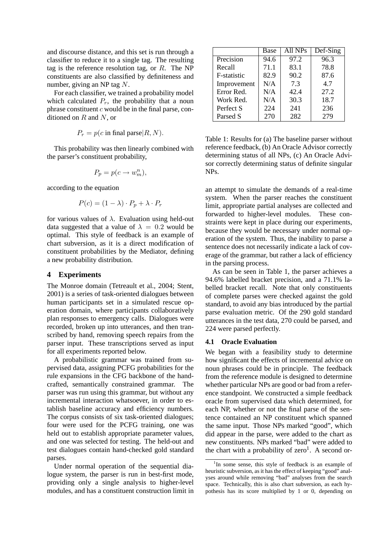and discourse distance, and this set is run through a classifier to reduce it to a single tag. The resulting tag is the reference resolution tag, or  $R$ . The NP constituents are also classified by definiteness and number, giving an NP tag N.

For each classifier, we trained a probability model which calculated  $P_r$ , the probability that a noun phrase constituent  $c$  would be in the final parse, conditioned on  $R$  and  $N$ , or

$$
P_r = p(c \text{ in final parse} | R, N).
$$

This probability was then linearly combined with the parser's constituent probability,

$$
P_p = p(c \to w_m^n),
$$

according to the equation

$$
P(c) = (1 - \lambda) \cdot P_p + \lambda \cdot P_r
$$

for various values of  $\lambda$ . Evaluation using held-out data suggested that a value of  $\lambda = 0.2$  would be optimal. This style of feedback is an example of chart subversion, as it is a direct modification of constituent probabilities by the Mediator, defining a new probability distribution.

#### **4 Experiments**

The Monroe domain (Tetreault et al., 2004; Stent, 2001) is a series of task-oriented dialogues between human participants set in a simulated rescue operation domain, where participants collaboratively plan responses to emergency calls. Dialogues were recorded, broken up into utterances, and then transcribed by hand, removing speech repairs from the parser input. These transcriptions served as input for all experiments reported below.

A probabilistic grammar was trained from supervised data, assigning PCFG probabilities for the rule expansions in the CFG backbone of the handcrafted, semantically constrained grammar. The parser was run using this grammar, but without any incremental interaction whatsoever, in order to establish baseline accuracy and efficiency numbers. The corpus consists of six task-oriented dialogues; four were used for the PCFG training, one was held out to establish appropriate parameter values, and one was selected for testing. The held-out and test dialogues contain hand-checked gold standard parses.

Under normal operation of the sequential dialogue system, the parser is run in best-first mode, providing only a single analysis to higher-level modules, and has a constituent construction limit in

|             | Base | All NPs | Def-Sing |  |
|-------------|------|---------|----------|--|
| Precision   | 94.6 | 97.2    | 96.3     |  |
| Recall      | 71.1 | 83.1    | 78.8     |  |
| F-statistic | 82.9 | 90.2    | 87.6     |  |
| Improvement | N/A  | 7.3     | 4.7      |  |
| Error Red.  | N/A  | 42.4    | 27.2     |  |
| Work Red.   | N/A  | 30.3    | 18.7     |  |
| Perfect S   | 224  | 241     | 236      |  |
| Parsed S    | 270  | 282     | 279      |  |

Table 1: Results for (a) The baseline parser without reference feedback, (b) An Oracle Advisor correctly determining status of all NPs, (c) An Oracle Advisor correctly determining status of definite singular NPs.

an attempt to simulate the demands of a real-time system. When the parser reaches the constituent limit, appropriate partial analyses are collected and forwarded to higher-level modules. These constraints were kept in place during our experiments, because they would be necessary under normal operation of the system. Thus, the inability to parse a sentence does not necessarily indicate a lack of coverage of the grammar, but rather a lack of efficiency in the parsing process.

As can be seen in Table 1, the parser achieves a 94.6% labelled bracket precision, and a 71.1% labelled bracket recall. Note that only constituents of complete parses were checked against the gold standard, to avoid any bias introduced by the partial parse evaluation metric. Of the 290 gold standard utterances in the test data, 270 could be parsed, and 224 were parsed perfectly.

#### **4.1 Oracle Evaluation**

We began with a feasibility study to determine how significant the effects of incremental advice on noun phrases could be in principle. The feedback from the reference module is designed to determine whether particular NPs are good or bad from a reference standpoint. We constructed a simple feedback oracle from supervised data which determined, for each NP, whether or not the final parse of the sentence contained an NP constituent which spanned the same input. Those NPs marked "good", which did appear in the parse, were added to the chart as new constituents. NPs marked "bad" were added to the chart with a probability of  $zero<sup>1</sup>$ . A second or-

<sup>&</sup>lt;sup>1</sup>In some sense, this style of feedback is an example of heuristic subversion, as it has the effect of keeping "good" analyses around while removing "bad" analyses from the search space. Technically, this is also chart subversion, as each hypothesis has its score multiplied by 1 or 0, depending on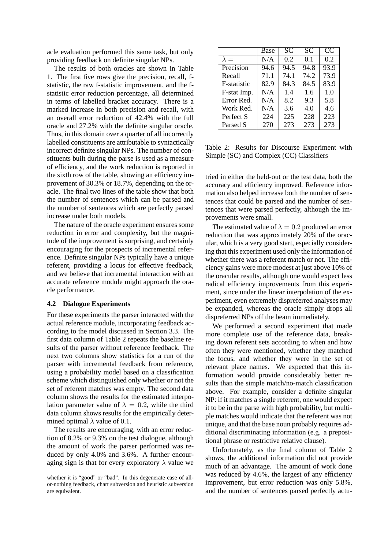acle evaluation performed this same task, but only providing feedback on definite singular NPs.

The results of both oracles are shown in Table 1. The first five rows give the precision, recall, fstatistic, the raw f-statistic improvement, and the fstatistic error reduction percentage, all determined in terms of labelled bracket accuracy. There is a marked increase in both precision and recall, with an overall error reduction of 42.4% with the full oracle and 27.2% with the definite singular oracle. Thus, in this domain over a quarter of all incorrectly labelled constituents are attributable to syntactically incorrect definite singular NPs. The number of constituents built during the parse is used as a measure of efficiency, and the work reduction is reported in the sixth row of the table, showing an efficiency improvement of 30.3% or 18.7%, depending on the oracle. The final two lines of the table show that both the number of sentences which can be parsed and the number of sentences which are perfectly parsed increase under both models.

The nature of the oracle experiment ensures some reduction in error and complexity, but the magnitude of the improvement is surprising, and certainly encouraging for the prospects of incremental reference. Definite singular NPs typically have a unique referent, providing a locus for effective feedback, and we believe that incremental interaction with an accurate reference module might approach the oracle performance.

#### **4.2 Dialogue Experiments**

For these experiments the parser interacted with the actual reference module, incorporating feedback according to the model discussed in Section 3.3. The first data column of Table 2 repeats the baseline results of the parser without reference feedback. The next two columns show statistics for a run of the parser with incremental feedback from reference, using a probability model based on a classification scheme which distinguished only whether or not the set of referent matches was empty. The second data column shows the results for the estimated interpolation parameter value of  $\lambda = 0.2$ , while the third data column shows results for the empirically determined optimal  $\lambda$  value of 0.1.

The results are encouraging, with an error reduction of 8.2% or 9.3% on the test dialogue, although the amount of work the parser performed was reduced by only 4.0% and 3.6%. A further encouraging sign is that for every exploratory  $\lambda$  value we

|                     | Base | <b>SC</b> | <b>SC</b> | CC   |
|---------------------|------|-----------|-----------|------|
| $\lambda =$         | N/A  | 0.2       | 0.1       | 0.2  |
| Precision           | 94.6 | 94.5      | 94.8      | 93.9 |
| Recall              | 71.1 | 74.1      | 74.2      | 73.9 |
| <b>F</b> -statistic | 82.9 | 84.3      | 84.5      | 83.9 |
| F-stat Imp.         | N/A  | 1.4       | 1.6       | 1.0  |
| Error Red.          | N/A  | 8.2       | 9.3       | 5.8  |
| Work Red.           | N/A  | 3.6       | 4.0       | 4.6  |
| Perfect S           | 224  | 225       | 228       | 223  |
| Parsed S            | 270  | 273       | 273       | 273  |

Table 2: Results for Discourse Experiment with Simple (SC) and Complex (CC) Classifiers

tried in either the held-out or the test data, both the accuracy and efficiency improved. Reference information also helped increase both the number of sentences that could be parsed and the number of sentences that were parsed perfectly, although the improvements were small.

The estimated value of  $\lambda = 0.2$  produced an error reduction that was approximately 20% of the oracular, which is a very good start, especially considering that this experiment used only the information of whether there was a referent match or not. The efficiency gains were more modest at just above 10% of the oracular results, although one would expect less radical efficiency improvements from this experiment, since under the linear interpolation of the experiment, even extremely dispreferred analyses may be expanded, whereas the oracle simply drops all dispreferred NPs off the beam immediately.

We performed a second experiment that made more complete use of the reference data, breaking down referent sets according to when and how often they were mentioned, whether they matched the focus, and whether they were in the set of relevant place names. We expected that this information would provide considerably better results than the simple match/no-match classification above. For example, consider a definite singular NP: if it matches a single referent, one would expect it to be in the parse with high probability, but multiple matches would indicate that the referent was not unique, and that the base noun probably requires additional discriminating information (e.g. a prepositional phrase or restrictive relative clause).

Unfortunately, as the final column of Table 2 shows, the additional information did not provide much of an advantage. The amount of work done was reduced by 4.6%, the largest of any efficiency improvement, but error reduction was only 5.8%, and the number of sentences parsed perfectly actu-

whether it is "good" or "bad". In this degenerate case of allor-nothing feedback, chart subversion and heuristic subversion are equivalent.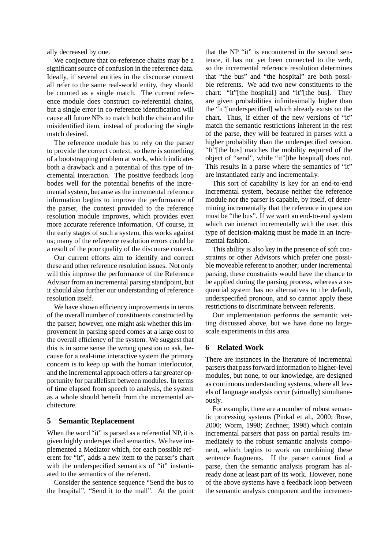ally decreased by one.

We conjecture that co-reference chains may be a significant source of confusion in the reference data. Ideally, if several entities in the discourse context all refer to the same real-world entity, they should be counted as a single match. The current reference module does construct co-referential chains, but a single error in co-reference identification will cause all future NPs to match both the chain and the misidentified item, instead of producing the single match desired.

The reference module has to rely on the parser to provide the correct context, so there is something of a bootstrapping problem at work, which indicates both a drawback and a potential of this type of incremental interaction. The positive feedback loop bodes well for the potential benefits of the incremental system, because as the incremental reference information begins to improve the performance of the parser, the context provided to the reference resolution module improves, which provides even more accurate reference information. Of course, in the early stages of such a system, this works against us; many of the reference resolution errors could be a result of the poor quality of the discourse context.

Our current efforts aim to identify and correct these and other reference resolution issues. Not only will this improve the performance of the Reference Advisor from an incremental parsing standpoint, but it should also further our understanding of reference resolution itself.

We have shown efficiency improvements in terms of the overall number of constituents constructed by the parser; however, one might ask whether this improvement in parsing speed comes at a large cost to the overall efficiency of the system. We suggest that this is in some sense the wrong question to ask, because for a real-time interactive system the primary concern is to keep up with the human interlocutor, and the incremental approach offers a far greater opportunity for parallelism between modules. In terms of time elapsed from speech to analysis, the system as a whole should benefit from the incremental architecture.

# **5 Semantic Replacement**

When the word "it" is parsed as a referential NP, it is given highly underspecified semantics. We have implemented a Mediator which, for each possible referent for "it", adds a new item to the parser's chart with the underspecified semantics of "it" instantiated to the semantics of the referent.

Consider the sentence sequence "Send the bus to the hospital", "Send it to the mall". At the point

that the NP "it" is encountered in the second sentence, it has not yet been connected to the verb, so the incremental reference resolution determines that "the bus" and "the hospital" are both possible referents. We add two new constituents to the chart: "it"[the hospital] and "it"[the bus]. They are given probabilities infinitesimally higher than the "it"[underspecified] which already exists on the chart. Thus, if either of the new versions of "it" match the semantic restrictions inherent in the rest of the parse, they will be featured in parses with a higher probability than the underspecified version. "It"[the bus] matches the mobility required of the object of "send", while "it"[the hospital] does not. This results in a parse where the semantics of "it" are instantiated early and incrementally.

This sort of capability is key for an end-to-end incremental system, because neither the reference module nor the parser is capable, by itself, of determining incrementally that the reference in question must be "the bus". If we want an end-to-end system which can interact incrementally with the user, this type of decision-making must be made in an incremental fashion.

This ability is also key in the presence of soft constraints or other Advisors which prefer one possible moveable referent to another; under incremental parsing, these constraints would have the chance to be applied during the parsing process, whereas a sequential system has no alternatives to the default, underspecified pronoun, and so cannot apply these restrictions to discriminate between referents.

Our implementation performs the semantic vetting discussed above, but we have done no largescale experiments in this area.

#### **6 Related Work**

There are instances in the literature of incremental parsers that pass forward information to higher-level modules, but none, to our knowledge, are designed as continuous understanding systems, where all levels of language analysis occur (virtually) simultaneously.

For example, there are a number of robust semantic processing systems (Pinkal et al., 2000; Rose, 2000; Worm, 1998; Zechner, 1998) which contain incremental parsers that pass on partial results immediately to the robust semantic analysis component, which begins to work on combining these sentence fragments. If the parser cannot find a parse, then the semantic analysis program has already done at least part of its work. However, none of the above systems have a feedback loop between the semantic analysis component and the incremen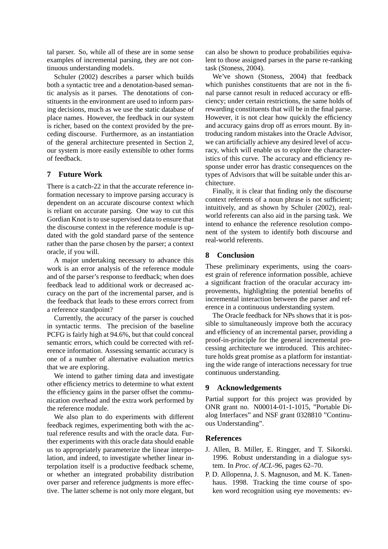tal parser. So, while all of these are in some sense examples of incremental parsing, they are not continuous understanding models.

Schuler (2002) describes a parser which builds both a syntactic tree and a denotation-based semantic analysis as it parses. The denotations of constituents in the environment are used to inform parsing decisions, much as we use the static database of place names. However, the feedback in our system is richer, based on the context provided by the preceding discourse. Furthermore, as an instantiation of the general architecture presented in Section 2, our system is more easily extensible to other forms of feedback.

# **7 Future Work**

There is a catch-22 in that the accurate reference information necessary to improve parsing accuracy is dependent on an accurate discourse context which is reliant on accurate parsing. One way to cut this Gordian Knot is to use supervised data to ensure that the discourse context in the reference module is updated with the gold standard parse of the sentence rather than the parse chosen by the parser; a context oracle, if you will.

A major undertaking necessary to advance this work is an error analysis of the reference module and of the parser's response to feedback; when does feedback lead to additional work or decreased accuracy on the part of the incremental parser, and is the feedback that leads to these errors correct from a reference standpoint?

Currently, the accuracy of the parser is couched in syntactic terms. The precision of the baseline PCFG is fairly high at 94.6%, but that could conceal semantic errors, which could be corrected with reference information. Assessing semantic accuracy is one of a number of alternative evaluation metrics that we are exploring.

We intend to gather timing data and investigate other efficiency metrics to determine to what extent the efficiency gains in the parser offset the communication overhead and the extra work performed by the reference module.

We also plan to do experiments with different feedback regimes, experimenting both with the actual reference results and with the oracle data. Further experiments with this oracle data should enable us to appropriately parameterize the linear interpolation, and indeed, to investigate whether linear interpolation itself is a productive feedback scheme, or whether an integrated probability distribution over parser and reference judgments is more effective. The latter scheme is not only more elegant, but can also be shown to produce probabilities equivalent to those assigned parses in the parse re-ranking task (Stoness, 2004).

We've shown (Stoness, 2004) that feedback which punishes constituents that are not in the final parse cannot result in reduced accuracy or efficiency; under certain restrictions, the same holds of rewarding constituents that will be in the final parse. However, it is not clear how quickly the efficiency and accuracy gains drop off as errors mount. By introducing random mistakes into the Oracle Advisor, we can artificially achieve any desired level of accuracy, which will enable us to explore the characteristics of this curve. The accuracy and efficiency response under error has drastic consequences on the types of Advisors that will be suitable under this architecture.

Finally, it is clear that finding only the discourse context referents of a noun phrase is not sufficient; intuitively, and as shown by Schuler (2002), realworld referents can also aid in the parsing task. We intend to enhance the reference resolution component of the system to identify both discourse and real-world referents.

# **8 Conclusion**

These preliminary experiments, using the coarsest grain of reference information possible, achieve a significant fraction of the oracular accuracy improvements, highlighting the potential benefits of incremental interaction between the parser and reference in a continuous understanding system.

The Oracle feedback for NPs shows that it is possible to simultaneously improve both the accuracy and efficiency of an incremental parser, providing a proof-in-principle for the general incremental processing architecture we introduced. This architecture holds great promise as a platform for instantiating the wide range of interactions necessary for true continuous understanding.

## **9 Acknowledgements**

Partial support for this project was provided by ONR grant no. N00014-01-1-1015, "Portable Dialog Interfaces" and NSF grant 0328810 "Continuous Understanding".

## **References**

- J. Allen, B. Miller, E. Ringger, and T. Sikorski. 1996. Robust understanding in a dialogue system. In *Proc. of ACL-96*, pages 62–70.
- P. D. Allopenna, J. S. Magnuson, and M. K. Tanenhaus. 1998. Tracking the time course of spoken word recognition using eye movements: ev-